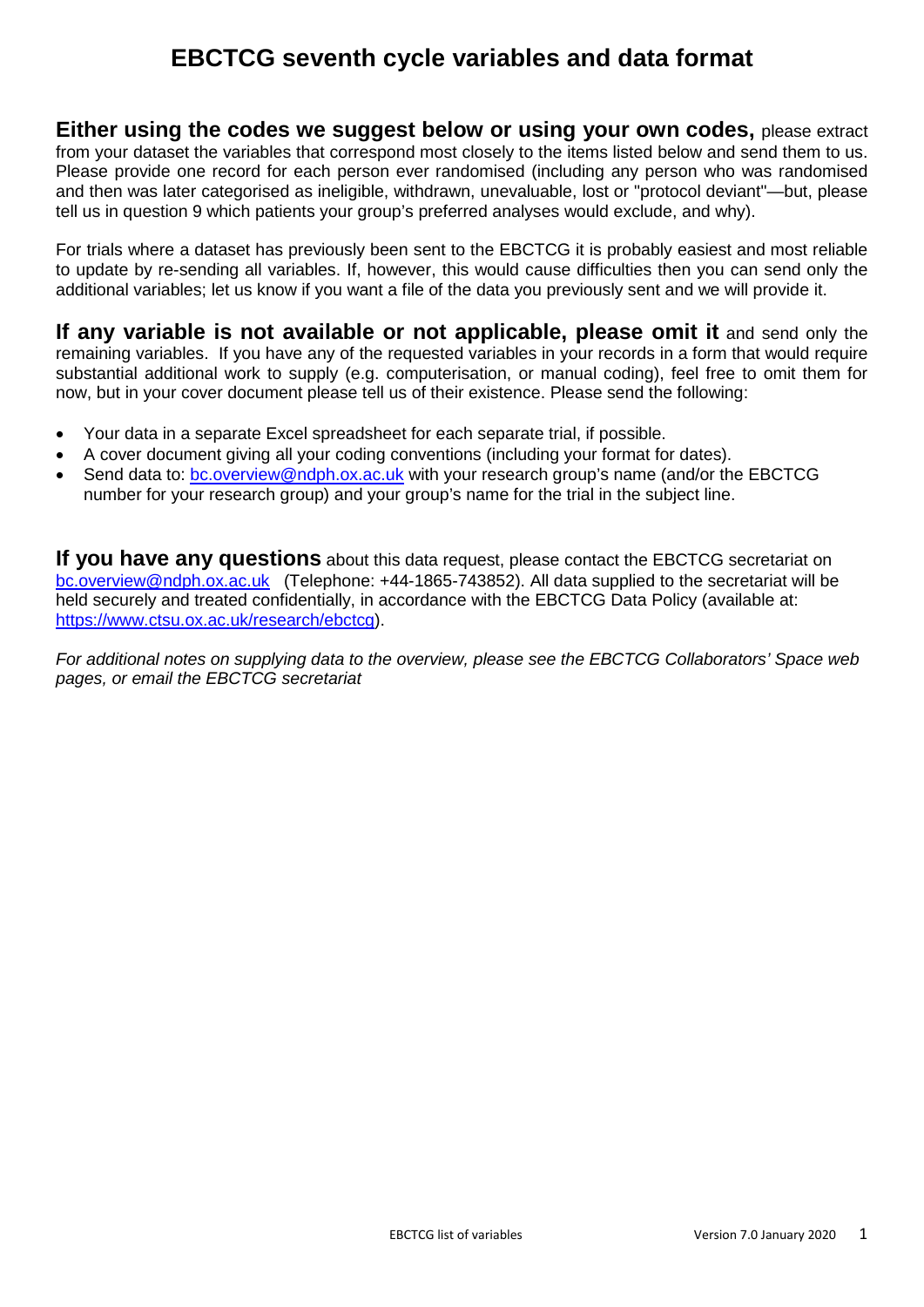# **EBCTCG seventh cycle variables and data format**

**Either using the codes we suggest below or using your own codes,** please extract from your dataset the variables that correspond most closely to the items listed below and send them to us. Please provide one record for each person ever randomised (including any person who was randomised and then was later categorised as ineligible, withdrawn, unevaluable, lost or "protocol deviant"—but, please tell us in question 9 which patients your group's preferred analyses would exclude, and why).

For trials where a dataset has previously been sent to the EBCTCG it is probably easiest and most reliable to update by re-sending all variables. If, however, this would cause difficulties then you can send only the additional variables; let us know if you want a file of the data you previously sent and we will provide it.

**If any variable is not available or not applicable, please omit it** and send only the remaining variables. If you have any of the requested variables in your records in a form that would require substantial additional work to supply (e.g. computerisation, or manual coding), feel free to omit them for now, but in your cover document please tell us of their existence. Please send the following:

- Your data in a separate Excel spreadsheet for each separate trial, if possible.
- A cover document giving all your coding conventions (including your format for dates).
- Send data to: [bc.overview@ndph.ox.ac.uk](mailto:bc.overview@ndph.ox.ac.uk) with your research group's name (and/or the EBCTCG number for your research group) and your group's name for the trial in the subject line.

**If you have any questions** about this data request, please contact the EBCTCG secretariat on [bc.overview@ndph.ox.ac.uk](mailto:bc.overview@ndph.ox.ac.uk) (Telephone: +44-1865-743852). All data supplied to the secretariat will be held securely and treated confidentially, in accordance with the EBCTCG Data Policy (available at: <https://www.ctsu.ox.ac.uk/research/ebctcg>).

*For additional notes on supplying data to the overview, please see the EBCTCG Collaborators' Space web pages, or email the EBCTCG secretariat*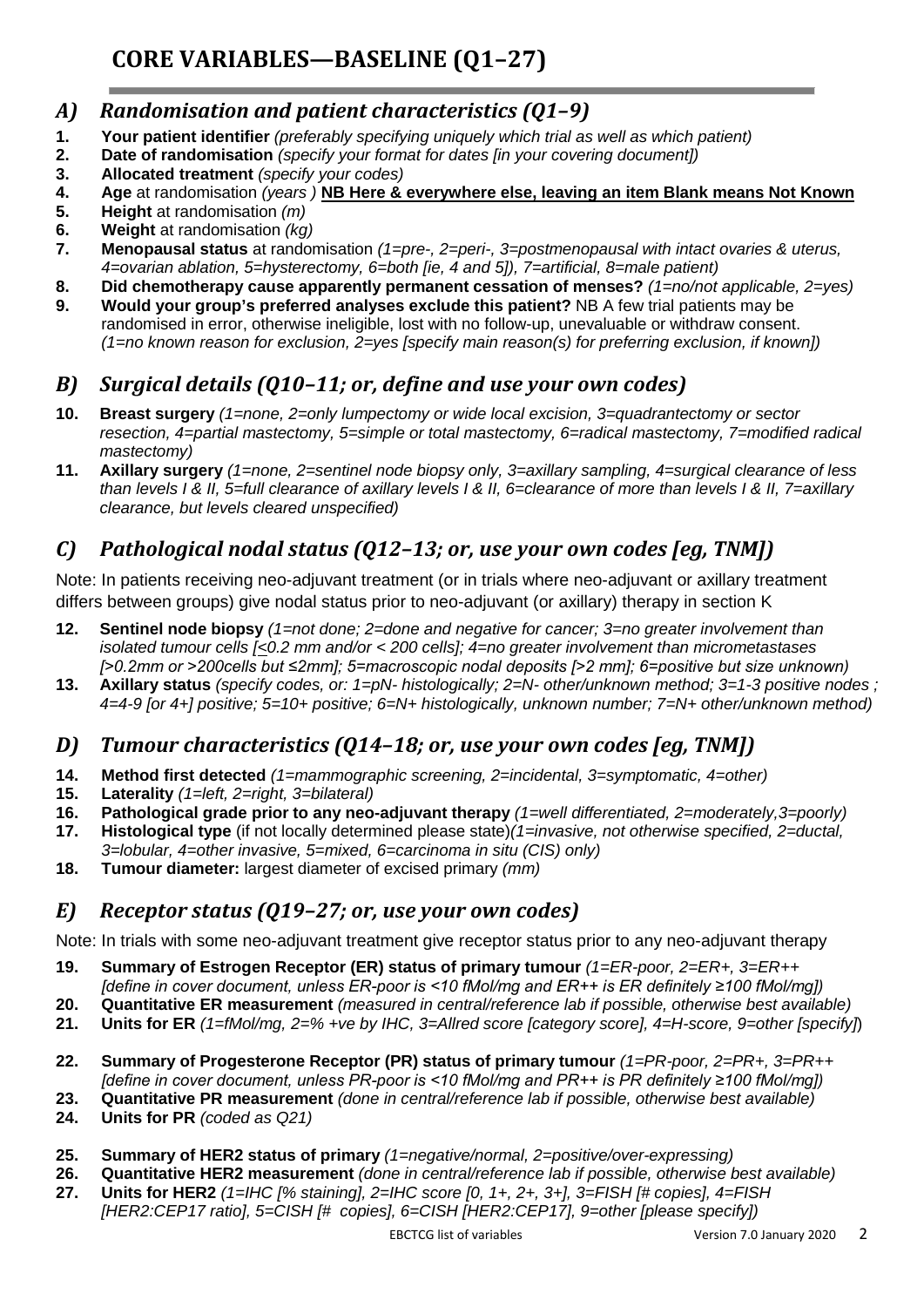#### *A) Randomisation and patient characteristics (Q1–9)*

- **1. Your patient identifier** *(preferably specifying uniquely which trial as well as which patient)*
- **2. Date of randomisation** *(specify your format for dates [in your covering document])*
- **3. Allocated treatment** *(specify your codes)*
- **4. Age** at randomisation *(years )* **NB Here & everywhere else, leaving an item Blank means Not Known**
- **5. Height** at randomisation *(m)*
- **6. Weight** at randomisation *(kg)*
- **7. Menopausal status** at randomisation *(1=pre-, 2=peri-, 3=postmenopausal with intact ovaries & uterus, 4=ovarian ablation, 5=hysterectomy, 6=both [ie, 4 and 5]), 7=artificial, 8=male patient)*
- **8. Did chemotherapy cause apparently permanent cessation of menses?** *(1=no/not applicable, 2=yes)*
- **9. Would your group's preferred analyses exclude this patient?** NB A few trial patients may be randomised in error, otherwise ineligible, lost with no follow-up, unevaluable or withdraw consent. *(1=no known reason for exclusion, 2=yes [specify main reason(s) for preferring exclusion, if known])*

### *B) Surgical details (Q10–11; or, define and use your own codes)*

- **10. Breast surgery** *(1=none, 2=only lumpectomy or wide local excision, 3=quadrantectomy or sector resection, 4=partial mastectomy, 5=simple or total mastectomy, 6=radical mastectomy, 7=modified radical mastectomy)*
- **11. Axillary surgery** *(1=none, 2=sentinel node biopsy only, 3=axillary sampling, 4=surgical clearance of less than levels I & II, 5=full clearance of axillary levels I & II, 6=clearance of more than levels I & II, 7=axillary clearance, but levels cleared unspecified)*

# *C) Pathological nodal status (Q12–13; or, use your own codes [eg, TNM])*

Note: In patients receiving neo-adjuvant treatment (or in trials where neo-adjuvant or axillary treatment differs between groups) give nodal status prior to neo-adjuvant (or axillary) therapy in section K

- **12. Sentinel node biopsy** *(1=not done; 2=done and negative for cancer; 3=no greater involvement than isolated tumour cells [<0.2 mm and/or < 200 cells]; 4=no greater involvement than micrometastases [>0.2mm or >200cells but ≤2mm]; 5=macroscopic nodal deposits [>2 mm]; 6=positive but size unknown)*
- **13. Axillary status** *(specify codes, or: 1=pN- histologically; 2=N- other/unknown method; 3=1-3 positive nodes ; 4=4-9 [or 4+] positive; 5=10+ positive; 6=N+ histologically, unknown number; 7=N+ other/unknown method)*

#### *D) Tumour characteristics (Q14–18; or, use your own codes [eg, TNM])*

- **14. Method first detected** *(1=mammographic screening, 2=incidental, 3=symptomatic, 4=other)*
- **15. Laterality** *(1=left, 2=right, 3=bilateral)*
- **16. Pathological grade prior to any neo-adjuvant therapy** *(1=well differentiated, 2=moderately,3=poorly)*
- **17. Histological type** (if not locally determined please state)*(1=invasive, not otherwise specified, 2=ductal, 3=lobular, 4=other invasive, 5=mixed, 6=carcinoma in situ (CIS) only)*
- **18. Tumour diameter:** largest diameter of excised primary *(mm)*

#### *E) Receptor status (Q19–27; or, use your own codes)*

Note: In trials with some neo-adjuvant treatment give receptor status prior to any neo-adjuvant therapy

- **19. Summary of Estrogen Receptor (ER) status of primary tumour** *(1=ER-poor, 2=ER+, 3=ER++*
- *[define in cover document, unless ER-poor is <10 fMol/mg and ER++ is ER definitely ≥100 fMol/mg])*
- **20. Quantitative ER measurement** *(measured in central/reference lab if possible, otherwise best available)*
- **21. Units for ER** *(1=fMol/mg, 2=% +ve by IHC, 3=Allred score [category score], 4=H-score, 9=other [specify]*)
- **22. Summary of Progesterone Receptor (PR) status of primary tumour** *(1=PR-poor, 2=PR+, 3=PR++ [define in cover document, unless PR-poor is <10 fMol/mg and PR++ is PR definitely ≥100 fMol/mg])*
- **23. Quantitative PR measurement** *(done in central/reference lab if possible, otherwise best available)*
- **24. Units for PR** *(coded as Q21)*
- **25. Summary of HER2 status of primary** *(1=negative/normal, 2=positive/over-expressing)*
- **26. Quantitative HER2 measurement** *(done in central/reference lab if possible, otherwise best available)*
- **27. Units for HER2** *(1=IHC [% staining], 2=IHC score [0, 1+, 2+, 3+], 3=FISH [# copies], 4=FISH [HER2:CEP17 ratio], 5=CISH [# copies], 6=CISH [HER2:CEP17], 9=other [please specify])*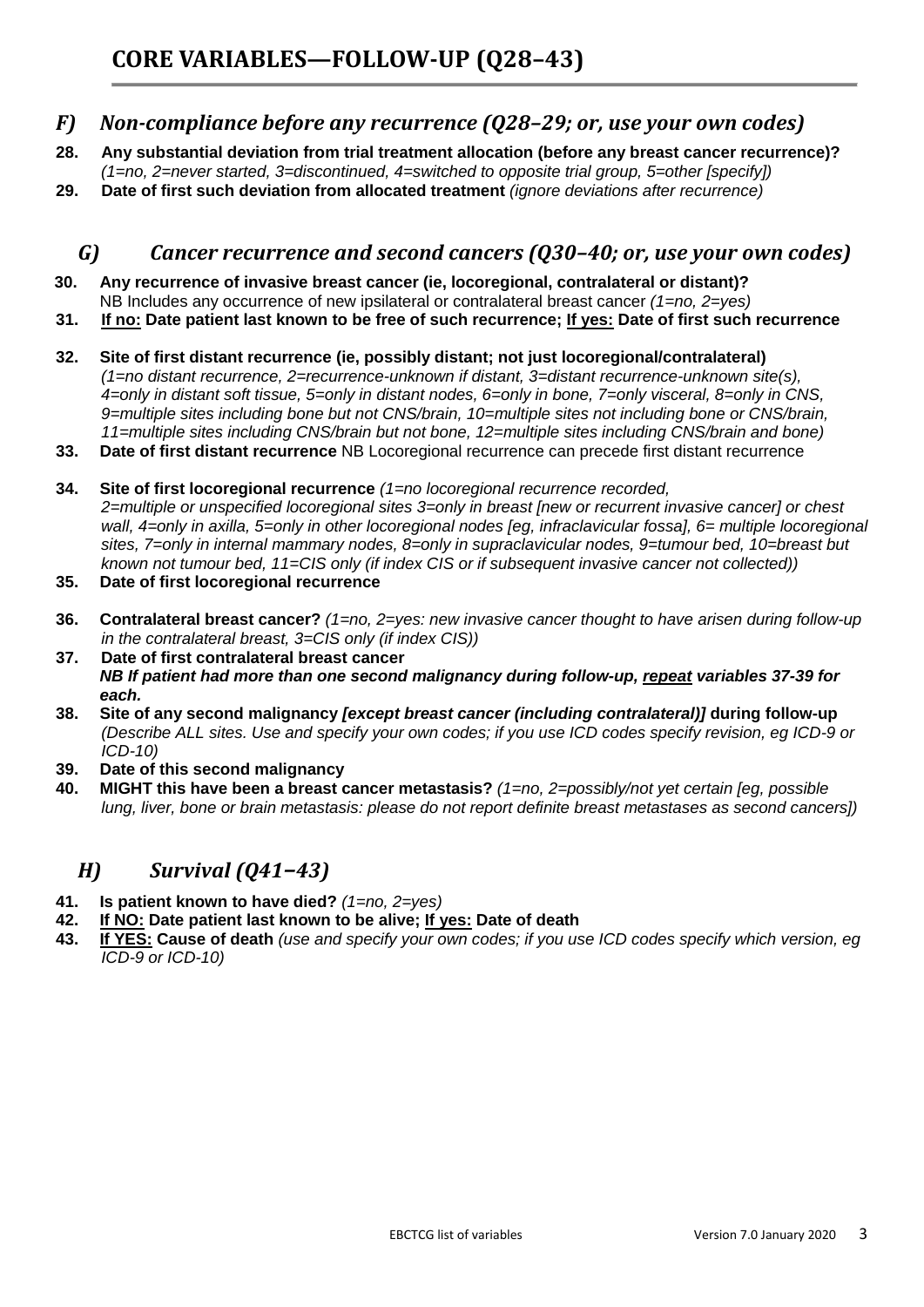#### *F) Non-compliance before any recurrence (Q28–29; or, use your own codes)*

- **28. Any substantial deviation from trial treatment allocation (before any breast cancer recurrence)?**  *(1=no, 2=never started, 3=discontinued, 4=switched to opposite trial group, 5=other [specify])*
- **29. Date of first such deviation from allocated treatment** *(ignore deviations after recurrence)*

#### *G) Cancer recurrence and second cancers (Q30–40; or, use your own codes)*

- **30. Any recurrence of invasive breast cancer (ie, locoregional, contralateral or distant)?**  NB Includes any occurrence of new ipsilateral or contralateral breast cancer *(1=no, 2=yes)*
- **31. If no: Date patient last known to be free of such recurrence; If yes: Date of first such recurrence**
- **32. Site of first distant recurrence (ie, possibly distant; not just locoregional/contralateral)**  *(1=no distant recurrence, 2=recurrence-unknown if distant, 3=distant recurrence-unknown site(s), 4=only in distant soft tissue, 5=only in distant nodes, 6=only in bone, 7=only visceral, 8=only in CNS, 9=multiple sites including bone but not CNS/brain, 10=multiple sites not including bone or CNS/brain, 11=multiple sites including CNS/brain but not bone, 12=multiple sites including CNS/brain and bone)*
- **33. Date of first distant recurrence** NB Locoregional recurrence can precede first distant recurrence
- **34. Site of first locoregional recurrence** *(1=no locoregional recurrence recorded, 2=multiple or unspecified locoregional sites 3=only in breast [new or recurrent invasive cancer] or chest wall, 4=only in axilla, 5=only in other locoregional nodes [eg, infraclavicular fossa], 6= multiple locoregional sites, 7=only in internal mammary nodes, 8=only in supraclavicular nodes, 9=tumour bed, 10=breast but known not tumour bed, 11=CIS only (if index CIS or if subsequent invasive cancer not collected))*
- **35. Date of first locoregional recurrence**
- **36. Contralateral breast cancer?** *(1=no, 2=yes: new invasive cancer thought to have arisen during follow-up in the contralateral breast, 3=CIS only (if index CIS))*
- **37. Date of first contralateral breast cancer** *NB If patient had more than one second malignancy during follow-up, repeat variables 37-39 for each.*
- **38. Site of any second malignancy** *[except breast cancer (including contralateral)]* **during follow-up** *(Describe ALL sites. Use and specify your own codes; if you use ICD codes specify revision, eg ICD-9 or ICD-10)*
- **39. Date of this second malignancy**
- **40. MIGHT this have been a breast cancer metastasis?** *(1=no, 2=possibly/not yet certain [eg, possible lung, liver, bone or brain metastasis: please do not report definite breast metastases as second cancers]*)

#### *H) Survival (Q41–43)*

- **41. Is patient known to have died?** *(1=no, 2=yes)*
- **42. If NO: Date patient last known to be alive; If yes: Date of death**
- **43. If YES: Cause of death** *(use and specify your own codes; if you use ICD codes specify which version, eg ICD-9 or ICD-10)*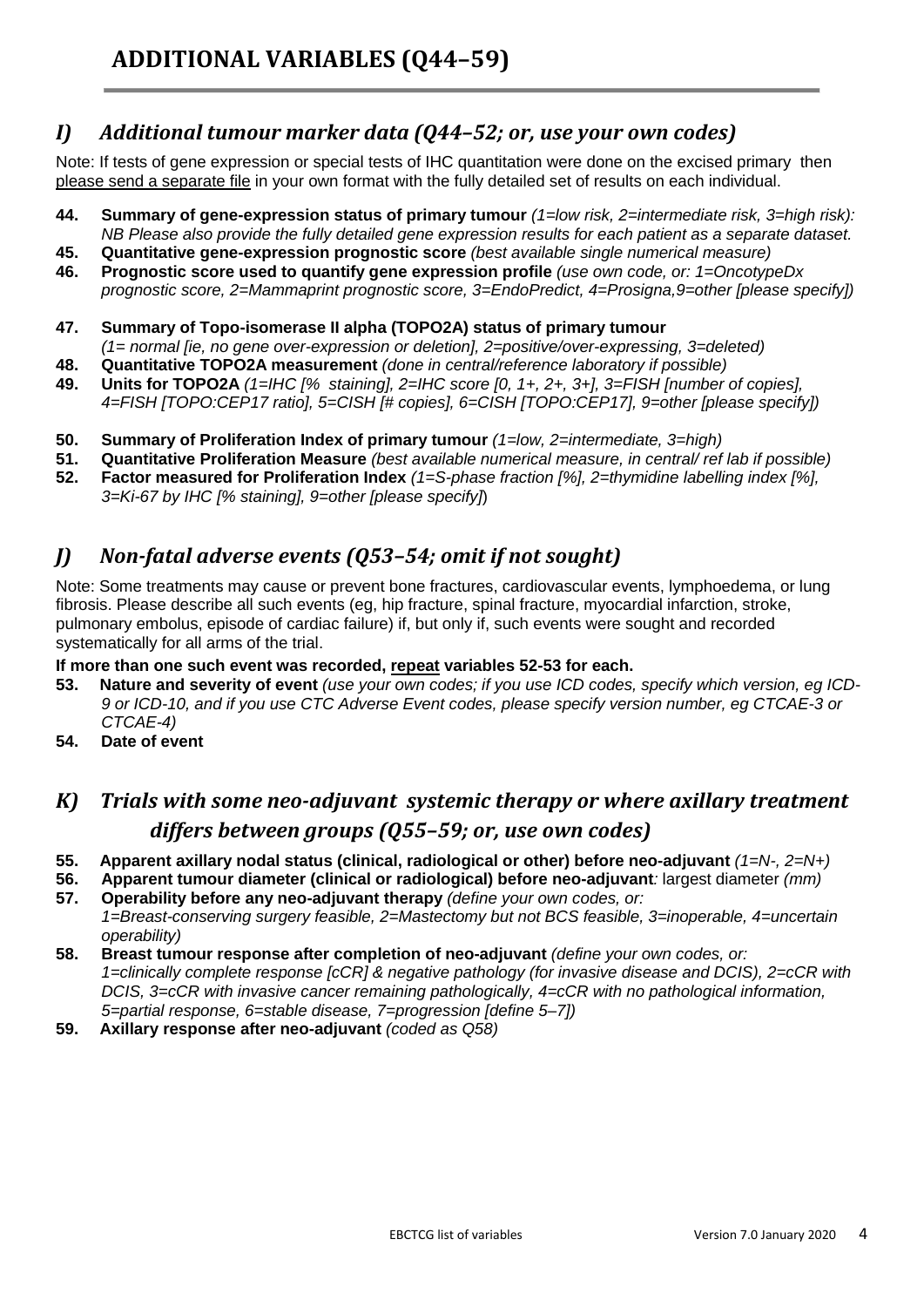#### *I) Additional tumour marker data (Q44–52; or, use your own codes)*

Note: If tests of gene expression or special tests of IHC quantitation were done on the excised primary then please send a separate file in your own format with the fully detailed set of results on each individual.

- **44. Summary of gene-expression status of primary tumour** *(1=low risk, 2=intermediate risk, 3=high risk): NB Please also provide the fully detailed gene expression results for each patient as a separate dataset.*
- **45. Quantitative gene-expression prognostic score** *(best available single numerical measure)*
- **46. Prognostic score used to quantify gene expression profile** *(use own code, or: 1=OncotypeDx prognostic score, 2=Mammaprint prognostic score, 3=EndoPredict, 4=Prosigna,9=other [please specify])*
- **47. Summary of Topo-isomerase II alpha (TOPO2A) status of primary tumour**  *(1= normal [ie, no gene over-expression or deletion], 2=positive/over-expressing, 3=deleted)*
- **48. Quantitative TOPO2A measurement** *(done in central/reference laboratory if possible)*
- **49. Units for TOPO2A** *(1=IHC [% staining], 2=IHC score [0, 1+, 2+, 3+], 3=FISH [number of copies], 4=FISH [TOPO:CEP17 ratio], 5=CISH [# copies], 6=CISH [TOPO:CEP17], 9=other [please specify])*
- **50. Summary of Proliferation Index of primary tumour** *(1=low, 2=intermediate, 3=high)*
- **51. Quantitative Proliferation Measure** *(best available numerical measure, in central/ ref lab if possible)*
- **52. Factor measured for Proliferation Index** *(1=S-phase fraction [%], 2=thymidine labelling index [%], 3=Ki-67 by IHC [% staining], 9=other [please specify]*)

#### *J) Non-fatal adverse events (Q53–54; omit if not sought)*

Note: Some treatments may cause or prevent bone fractures, cardiovascular events, lymphoedema, or lung fibrosis. Please describe all such events (eg, hip fracture, spinal fracture, myocardial infarction, stroke, pulmonary embolus, episode of cardiac failure) if, but only if, such events were sought and recorded systematically for all arms of the trial.

#### **If more than one such event was recorded, repeat variables 52-53 for each.**

- **53. Nature and severity of event** *(use your own codes; if you use ICD codes, specify which version, eg ICD-9 or ICD-10, and if you use CTC Adverse Event codes, please specify version number, eg CTCAE-3 or CTCAE-4)*
- **54. Date of event**

## *K) Trials with some neo-adjuvant systemic therapy or where axillary treatment differs between groups (Q55–59; or, use own codes)*

- **55. Apparent axillary nodal status (clinical, radiological or other) before neo-adjuvant** *(1=N-, 2=N+)*
- **56. Apparent tumour diameter (clinical or radiological) before neo-adjuvant***:* largest diameter *(mm)*
- **57. Operability before any neo-adjuvant therapy** *(define your own codes, or:*
- *1=Breast-conserving surgery feasible, 2=Mastectomy but not BCS feasible, 3=inoperable, 4=uncertain operability)*
- **58. Breast tumour response after completion of neo-adjuvant** *(define your own codes, or: 1=clinically complete response [cCR] & negative pathology (for invasive disease and DCIS), 2=cCR with DCIS, 3=cCR with invasive cancer remaining pathologically, 4=cCR with no pathological information, 5=partial response, 6=stable disease, 7=progression [define 5–7])*
- **59. Axillary response after neo-adjuvant** *(coded as Q58)*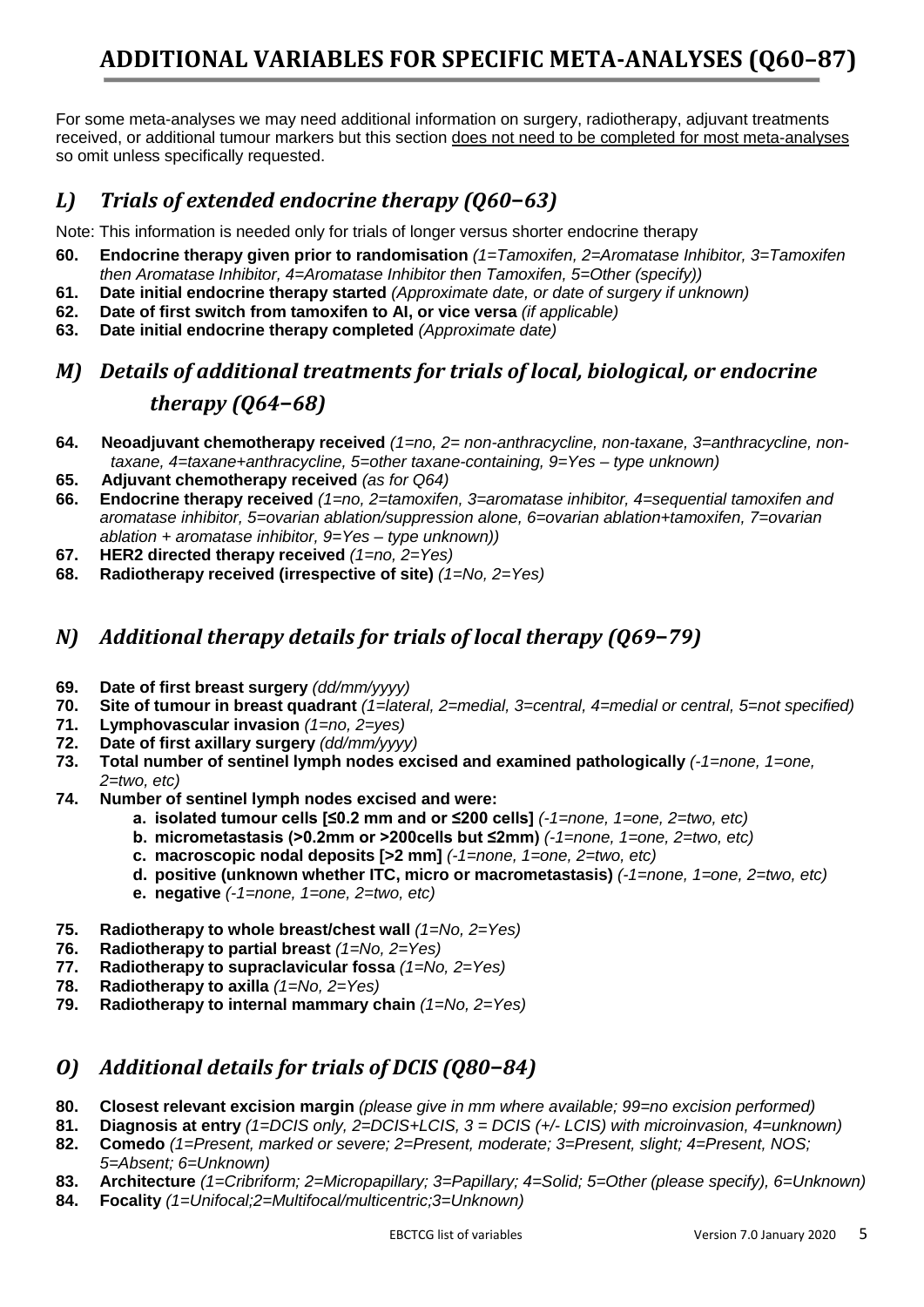# **ADDITIONAL VARIABLES FOR SPECIFIC META-ANALYSES (Q60–87)**

For some meta-analyses we may need additional information on surgery, radiotherapy, adjuvant treatments received, or additional tumour markers but this section does not need to be completed for most meta-analyses so omit unless specifically requested.

### *L) Trials of extended endocrine therapy (Q60***–***63)*

Note: This information is needed only for trials of longer versus shorter endocrine therapy

- **60. Endocrine therapy given prior to randomisation** *(1=Tamoxifen, 2=Aromatase Inhibitor, 3=Tamoxifen then Aromatase Inhibitor, 4=Aromatase Inhibitor then Tamoxifen, 5=Other (specify))*
- **61. Date initial endocrine therapy started** *(Approximate date, or date of surgery if unknown)*
- **62. Date of first switch from tamoxifen to AI, or vice versa** *(if applicable)*
- **63. Date initial endocrine therapy completed** *(Approximate date)*

# *M) Details of additional treatments for trials of local, biological, or endocrine therapy (Q64***–***68)*

- **64. Neoadjuvant chemotherapy received** *(1=no, 2= non-anthracycline, non-taxane, 3=anthracycline, nontaxane, 4=taxane+anthracycline, 5=other taxane-containing, 9=Yes – type unknown)*
- **65. Adjuvant chemotherapy received** *(as for Q64)*
- **66. Endocrine therapy received** *(1=no, 2=tamoxifen, 3=aromatase inhibitor, 4=sequential tamoxifen and aromatase inhibitor, 5=ovarian ablation/suppression alone, 6=ovarian ablation+tamoxifen, 7=ovarian ablation + aromatase inhibitor, 9=Yes – type unknown))*
- **67. HER2 directed therapy received** *(1=no, 2=Yes)*
- **68. Radiotherapy received (irrespective of site)** *(1=No, 2=Yes)*

#### *N) Additional therapy details for trials of local therapy (Q69***–***79)*

- **69. Date of first breast surgery** *(dd/mm/yyyy)*
- **70. Site of tumour in breast quadrant** *(1=lateral, 2=medial, 3=central, 4=medial or central, 5=not specified)*
- **71. Lymphovascular invasion** *(1=no, 2=yes)*
- **72. Date of first axillary surgery** *(dd/mm/yyyy)*
- **73. Total number of sentinel lymph nodes excised and examined pathologically** *(-1=none, 1=one, 2=two, etc)*
- **74. Number of sentinel lymph nodes excised and were:** 
	- **a. isolated tumour cells [≤0.2 mm and or ≤200 cells]** *(-1=none, 1=one, 2=two, etc)*
	- **b. micrometastasis (>0.2mm or >200cells but ≤2mm)** *(-1=none, 1=one, 2=two, etc)*
	- **c. macroscopic nodal deposits [>2 mm]** *(-1=none, 1=one, 2=two, etc)*
	- **d. positive (unknown whether ITC, micro or macrometastasis)** *(-1=none, 1=one, 2=two, etc)*
	- **e. negative** *(-1=none, 1=one, 2=two, etc)*
- **75. Radiotherapy to whole breast/chest wall** *(1=No, 2=Yes)*
- **76. Radiotherapy to partial breast** *(1=No, 2=Yes)*
- **77. Radiotherapy to supraclavicular fossa** *(1=No, 2=Yes)*
- **78. Radiotherapy to axilla** *(1=No, 2=Yes)*
- **79. Radiotherapy to internal mammary chain** *(1=No, 2=Yes)*

#### *O) Additional details for trials of DCIS (Q80***–***84)*

- **80. Closest relevant excision margin** *(please give in mm where available; 99=no excision performed)*
- **81. Diagnosis at entry** *(1=DCIS only, 2=DCIS+LCIS, 3 = DCIS (+/- LCIS) with microinvasion, 4=unknown)*
- **82. Comedo** *(1=Present, marked or severe; 2=Present, moderate; 3=Present, slight; 4=Present, NOS; 5=Absent; 6=Unknown)*
- **83. Architecture** *(1=Cribriform; 2=Micropapillary; 3=Papillary; 4=Solid; 5=Other (please specify), 6=Unknown)*
- **84. Focality** *(1=Unifocal;2=Multifocal/multicentric;3=Unknown)*